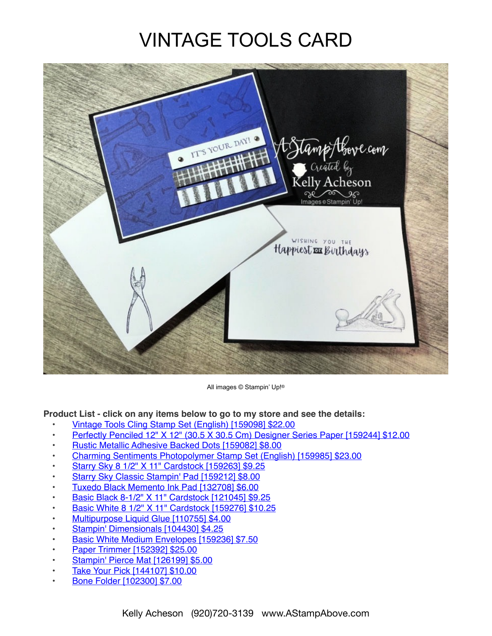## VINTAGE TOOLS CARD



All images © Stampin' Up!®

**Product List - click on any items below to go to my store and see the details:**

- [Vintage Tools Cling Stamp Set \(English\) \[159098\] \\$22.00](https://www.stampinup.com/products/vintage-tools-cling-stamp-set-english?demoid=80626)
- [Perfectly Penciled 12" X 12" \(30.5 X 30.5 Cm\) Designer Series Paper \[159244\] \\$12.00](https://www.stampinup.com/products/perfectly-penciled-12-x-12-30-5-x-30-5-cm-designer-series-paper?demoid=80626)
- [Rustic Metallic Adhesive Backed Dots \[159082\] \\$8.00](https://www.stampinup.com/products/rustic-metallic-adhesive-backed-dots?demoid=80626)
- [Charming Sentiments Photopolymer Stamp Set \(English\) \[159985\] \\$23.00](https://www.stampinup.com/products/charming-sentiments-photopolymer-stamp-set-english?demoid=80626)
- [Starry Sky 8 1/2" X 11" Cardstock \[159263\] \\$9.25](https://www.stampinup.com/products/starry-sky-8-1-2-x-11-cardstock?demoid=80626)
- [Starry Sky Classic Stampin' Pad \[159212\] \\$8.00](https://www.stampinup.com/products/starry-sky-classic-stampin-pad?demoid=80626)
- [Tuxedo Black Memento Ink Pad \[132708\] \\$6.00](https://www.stampinup.com/products/memento-ink-pad-tuxedo-black?demoid=80626)
- [Basic Black 8-1/2" X 11" Cardstock \[121045\] \\$9.25](https://www.stampinup.com/products/cardstock-8-1-2-x-11-basic-black?demoid=80626)
- [Basic White 8 1/2" X 11" Cardstock \[159276\] \\$10.25](https://www.stampinup.com/products/basic-white-8-1-2-x-11-cardstock?demoid=80626)
- [Multipurpose Liquid Glue \[110755\] \\$4.00](https://www.stampinup.com/products/glue-liquid-multipurpose?demoid=80626)
- [Stampin' Dimensionals \[104430\] \\$4.25](https://www.stampinup.com/products/stampin-dimensionals?demoid=80626)
- [Basic White Medium Envelopes \[159236\] \\$7.50](https://www.stampinup.com/products/basic-white-medium-envelopes?demoid=80626)
- [Paper Trimmer \[152392\] \\$25.00](https://www.stampinup.com/products/paper-trimmer?demoid=80626)
- [Stampin' Pierce Mat \[126199\] \\$5.00](https://www.stampinup.com/products/stampin-pierce-mat?demoid=80626)
- [Take Your Pick \[144107\] \\$10.00](https://www.stampinup.com/products/take-your-pick?demoid=80626)
- [Bone Folder \[102300\] \\$7.00](https://www.stampinup.com/products/bone-folder?demoid=80626)